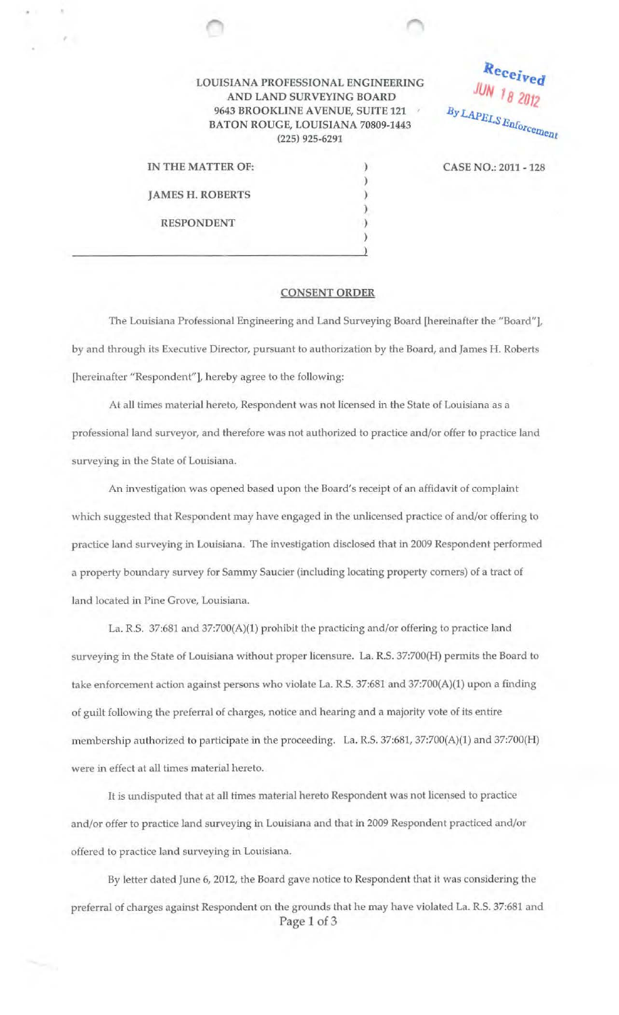## LOUISIANA PROFESSIONAL ENGINEERING AND LAND SURVEYING BOARD 9643 BROOKLINE AVENUE, SUITE 121 BATON ROUGE, LOUISIANA 70809-1443 (225) 925-6291

IN THE MATTER OF: JAMES H. ROBERTS RESPONDENT

'

CASE NO.: 2011 - 128

Received

**JUN 18 2012** 

By LAPELS Enforcement

## CONSENT ORDER

) ) ) ) ) )

The Louisiana Professional Engineering and Land Surveying Board [hereinafter the ''Board"], by and through its Executive Director, pursuant to authorization by the Board, and James H. Roberts [hereinafter "Respondent"], hereby agree to the following:

At all times material hereto, Respondent was not licensed in the State of Louisiana as a professional land surveyor, and therefore was not authorized to practice and/or offer to practice land surveying in the State of Louisiana.

An investigation was opened based upon the Board's receipt of an affidavit of complaint which suggested that Respondent may have engaged in the unlicensed practice of and/or offering to practice land surveying in Louisiana. The investigation disclosed that in 2009 Respondent performed a property boundary survey for Sammy Saucier (including locating property corners) of a tract of land located in Pine Grove, Louisiana.

La. R.S. 37:681 and 37:700(A)(1) prohibit the practicing and/or offering to practice land surveying in the State of Louisiana without proper licensure. La. R.S. 37:700(H) permits the Board to take enforcement action against persons who violate La. R.S. 37:681 and 37:700(A)(1) upon a finding of guilt following the preferral of charges, notice and hearing and a majority vote of its entire membership authorized to participate in the proceeding. La. R.S. 37:681, 37:700(A)(1) and 37:700(H) were in effect at all times material hereto.

It is undisputed that at all times material hereto Respondent was not licensed to practice and/or offer to practice land surveying in Louisiana and that in 2009 Respondent practiced and/or offered to practice land surveying in Louisiana.

By letter dated June 6, 2012, the Board gave notice to Respondent that it was considering the preferral of charges against Respondent on the grounds that he may have violated La. R.S. 37:681 and Page 1 of 3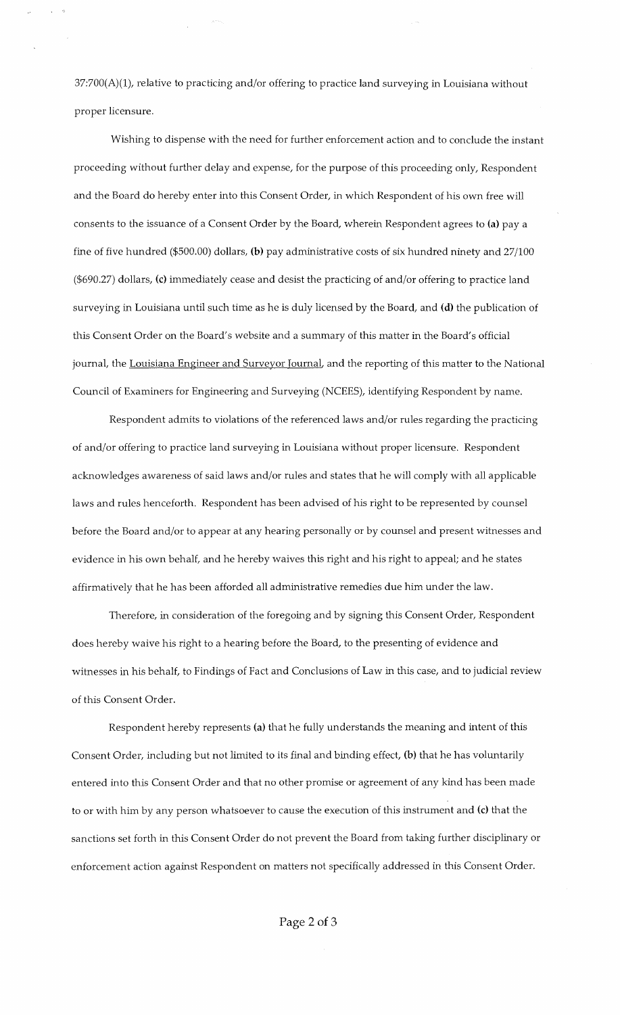37:700(A)(l), relative to practicing and/or offering to practice land surveying in Louisiana without proper licensure.

Wishing to dispense with the need for further enforcement action and to conclude the instant proceeding without further delay and expense, for the purpose of this proceeding only, Respondent and the Board do hereby enter into this Consent Order, in which Respondent of his own free will consents to the issuance of a Consent Order by the Board, wherein Respondent agrees to (a) pay a fine of five hundred (\$500.00) dollars, (b) pay administrative costs of six hundred ninety and 27/100 (\$690.27) dollars, (c) immediately cease and desist the practicing of and/or offering to practice land surveying in Louisiana until such time as he is duly licensed by the Board, and (d) the publication of this Consent Order on the Board's website and a summary of this matter in the Board's official journal, the Louisiana Engineer and Surveyor Journal, and the reporting of this matter to the National Council of Examiners for Engineering and Surveying (NCEES), identifying Respondent by name.

Respondent admits to violations of the referenced laws and/or rules regarding the practicing of and/or offering to practice land surveying in Louisiana without proper licensure. Respondent acknowledges awareness of said laws and/or rules and states that he will comply with all applicable laws and rules henceforth. Respondent has been advised of his right to be represented by counsel before the Board and/or to appear at any hearing personally or by counsel and present witnesses and evidence in his own behalf, and he hereby waives this right and his right to appeal; and he states affirmatively that he has been afforded all administrative remedies due him under the law.

Therefore, in consideration of the foregoing and by signing this Consent Order, Respondent does hereby waive his right to a hearing before the Board, to the presenting of evidence and witnesses in his behalf, to Findings of Fact and Conclusions of Law in this case, and to judicial review of this Consent Order.

Respondent hereby represents (a) that he fully understands the meaning and intent of this Consent Order, including but not limited to its final and binding effect, (b) that he has voluntarily entered into this Consent Order and that no other promise or agreement of any kind has been made to or with him by any person whatsoever to cause the execution of this instrument and (c) that the sanctions set forth in this Consent Order do not prevent the Board from taking further disciplinary or enforcement action against Respondent on matters not specifically addressed in this Consent Order.